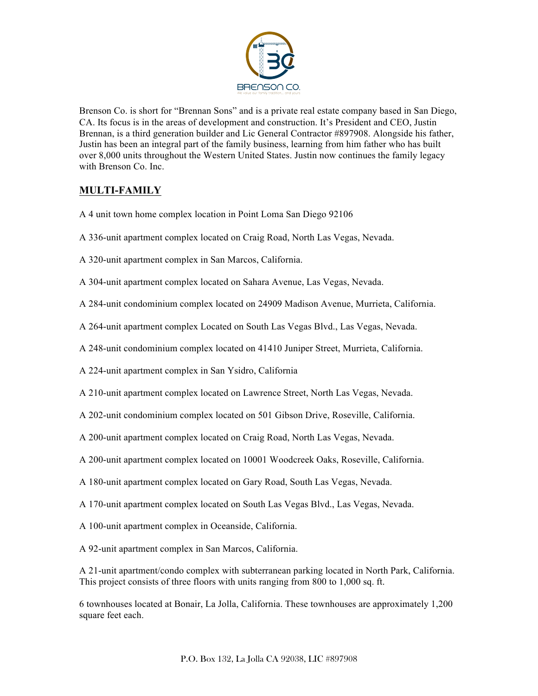

Brenson Co. is short for "Brennan Sons" and is a private real estate company based in San Diego, CA. Its focus is in the areas of development and construction. It's President and CEO, Justin Brennan, is a third generation builder and Lic General Contractor #897908. Alongside his father, Justin has been an integral part of the family business, learning from him father who has built over 8,000 units throughout the Western United States. Justin now continues the family legacy with Brenson Co. Inc.

## **MULTI-FAMILY**

- A 4 unit town home complex location in Point Loma San Diego 92106
- A 336-unit apartment complex located on Craig Road, North Las Vegas, Nevada.
- A 320-unit apartment complex in San Marcos, California.
- A 304-unit apartment complex located on Sahara Avenue, Las Vegas, Nevada.
- A 284-unit condominium complex located on 24909 Madison Avenue, Murrieta, California.
- A 264-unit apartment complex Located on South Las Vegas Blvd., Las Vegas, Nevada.
- A 248-unit condominium complex located on 41410 Juniper Street, Murrieta, California.
- A 224-unit apartment complex in San Ysidro, California
- A 210-unit apartment complex located on Lawrence Street, North Las Vegas, Nevada.
- A 202-unit condominium complex located on 501 Gibson Drive, Roseville, California.
- A 200-unit apartment complex located on Craig Road, North Las Vegas, Nevada.
- A 200-unit apartment complex located on 10001 Woodcreek Oaks, Roseville, California.
- A 180-unit apartment complex located on Gary Road, South Las Vegas, Nevada.
- A 170-unit apartment complex located on South Las Vegas Blvd., Las Vegas, Nevada.
- A 100-unit apartment complex in Oceanside, California.
- A 92-unit apartment complex in San Marcos, California.

A 21-unit apartment/condo complex with subterranean parking located in North Park, California. This project consists of three floors with units ranging from 800 to 1,000 sq. ft.

6 townhouses located at Bonair, La Jolla, California. These townhouses are approximately 1,200 square feet each.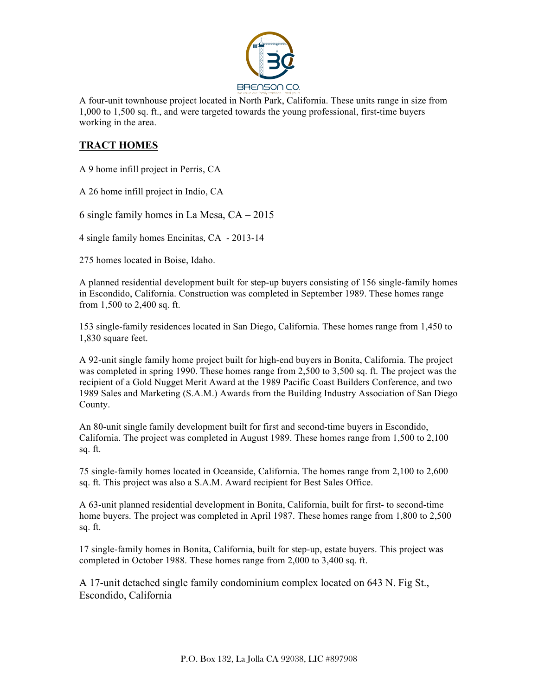

A four-unit townhouse project located in North Park, California. These units range in size from 1,000 to 1,500 sq. ft., and were targeted towards the young professional, first-time buyers working in the area.

## **TRACT HOMES**

A 9 home infill project in Perris, CA

A 26 home infill project in Indio, CA

6 single family homes in La Mesa, CA – 2015

4 single family homes Encinitas, CA - 2013-14

275 homes located in Boise, Idaho.

A planned residential development built for step-up buyers consisting of 156 single-family homes in Escondido, California. Construction was completed in September 1989. These homes range from 1,500 to 2,400 sq. ft.

153 single-family residences located in San Diego, California. These homes range from 1,450 to 1,830 square feet.

A 92-unit single family home project built for high-end buyers in Bonita, California. The project was completed in spring 1990. These homes range from 2,500 to 3,500 sq. ft. The project was the recipient of a Gold Nugget Merit Award at the 1989 Pacific Coast Builders Conference, and two 1989 Sales and Marketing (S.A.M.) Awards from the Building Industry Association of San Diego County.

An 80-unit single family development built for first and second-time buyers in Escondido, California. The project was completed in August 1989. These homes range from 1,500 to 2,100 sq. ft.

75 single-family homes located in Oceanside, California. The homes range from 2,100 to 2,600 sq. ft. This project was also a S.A.M. Award recipient for Best Sales Office.

A 63-unit planned residential development in Bonita, California, built for first- to second-time home buyers. The project was completed in April 1987. These homes range from 1,800 to 2,500 sq. ft.

17 single-family homes in Bonita, California, built for step-up, estate buyers. This project was completed in October 1988. These homes range from 2,000 to 3,400 sq. ft.

A 17-unit detached single family condominium complex located on 643 N. Fig St., Escondido, California